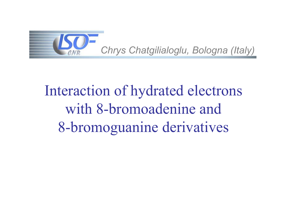

# Interaction of hydrated electrons with 8-bromoadenine and 8-bromoguanine derivatives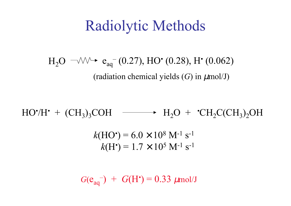### Radiolytic Methods

 $\rm{}H_2O$  $\rm e_{aq}^{-}(0.27), HO^{*}(0.28), H^{*}(0.062)$ (radiation chemical yields ( *G*) in µmol/J)

*k*(HO •  $)$  =  $6.0 \times 10^{8}$  M<sup>-1</sup> s<sup>-1</sup> *k*(H •  $)$  =  $1.7\times10^{5}$  M<sup>-1</sup> s<sup>-1</sup> HO •/H  $\cdot$  + (CH<sub>3</sub>)<sub>3</sub>COH  $\longrightarrow$  H<sub>2</sub>O +  $\cdot$ CH<sub>2</sub>C(CH<sub>3</sub>)<sub>2</sub>OH

 $G(e_{aq}^{-}) + G(H^{*}) = 0.33 \mu$ mol/J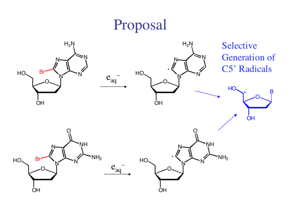# Proposal

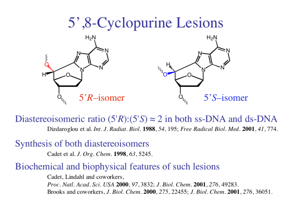

Diastereoisomeric ratio  $(5'R):(5'S) \approx 2$  in both ss-DNA and ds-DNA Dizdaroglou et al. Int. J. Radiat. Biol. 1988, 54, 195; Free Radical Biol. Med. 2001, 41, 774.

Synthesis of both diastereoisomers

Cadet et al. J. Org. Chem. 1998, 63, 5245.

#### Biochemical and biophysical features of such lesions

Cadet, Lindahl and coworkers,

Proc. Natl. Acad. Sci. USA 2000, 97, 3832; J. Biol. Chem. 2001, 276, 49283. Brooks and coworkers, *J. Biol. Chem.* **2000**, 275, 22455; *J. Biol. Chem.* **2001**, 276, 36051.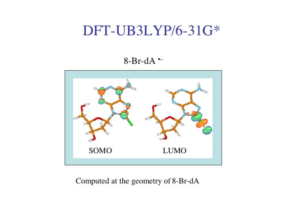#### DFT-UB3LYP/6-31G\*

 $8-Br-dA -$ 



Computed at the geometry of 8-Br-dA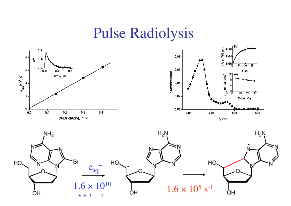#### **Pulse Radiolysis**



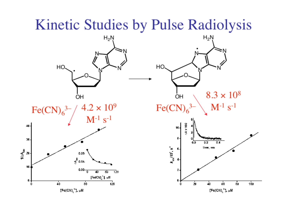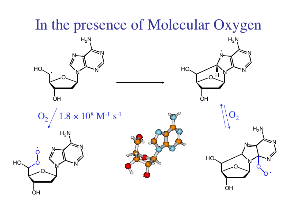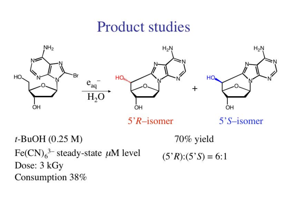# **Product studies**



 $t$ -BuOH  $(0.25 M)$ Fe(CN)<sub>6</sub><sup>3–</sup> steady-state  $\mu$ M level Dose: 3 kGy Consumption 38%

- 70% yield
- $(5'R):(5'S)=6:1$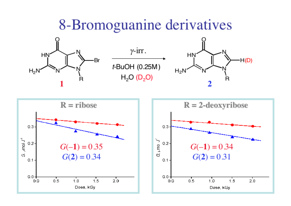#### 8-Bromoguanine derivatives

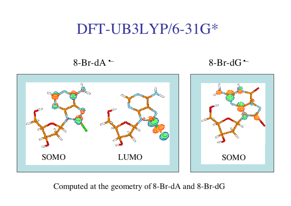## DFT-UB3LYP/6-31G\*

#### 8-Br-dA $\sim$

#### 8-Br-dG $\sim$



Computed at the geometry of 8-Br-dA and 8-Br-dG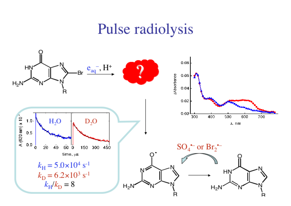# Pulse radiolysis

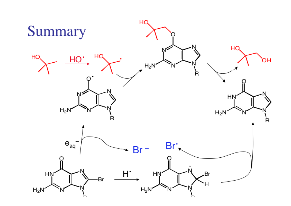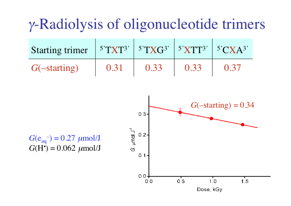# $\gamma$ -Radiolysis of oligonucleotide trimers

| Starting trimer $5$ <sup>TXT3'</sup> $5$ <sup>TXG3'</sup> $5$ <sup>'</sup> XTT <sup>3'</sup> $5$ <sup>3</sup> 'CXA <sup>3</sup> ' |      |      |      |  |
|-----------------------------------------------------------------------------------------------------------------------------------|------|------|------|--|
| $G(-starting)$                                                                                                                    | 0.31 | 0.33 | 0.33 |  |

 $G(e_{aq}^-) = 0.27 \ \mu m o l/J$  $G(H<sup>2</sup>) = 0.062 \mu m o l / J$ 

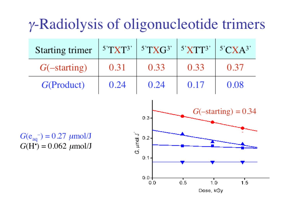# $\gamma$ -Radiolysis of oligonucleotide trimers

| Starting trimer | $ 5$ <sup>T</sup> XT <sup>3</sup> ' | $5^{\circ}$ TXG <sup>3'</sup> $5^{\circ}$ XTT <sup>3</sup> ' |      | $\mid$ 5'CXA <sup>3'</sup> |
|-----------------|-------------------------------------|--------------------------------------------------------------|------|----------------------------|
| $G(-starting)$  | 0.31                                | 0.33                                                         | 0.33 | 0.37                       |
| G(Product)      | 0.24                                | 0.24                                                         | 0.17 | 0.08                       |
|                 |                                     |                                                              |      |                            |

 $G(e_{aa}^{-}) = 0.27 \ \mu m o l/J$  $G(H<sup>2</sup>) = 0.062 \mu m o l / J$ 

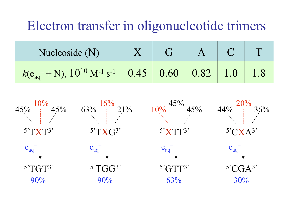#### Electron transfer in oligonucleotide trimers

| Nucleoside $(N)$                                                | $\overline{G}$ | A |  |
|-----------------------------------------------------------------|----------------|---|--|
| $k(e_{aq}^- + N), 10^{10} M^{-1} s^{-1}$ 0.45 0.60 0.82 1.0 1.8 |                |   |  |

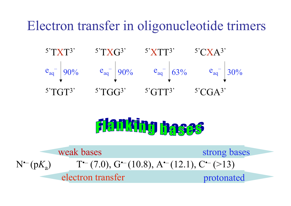#### Electron transfer in oligonucleotide trimers



# Flanking hases

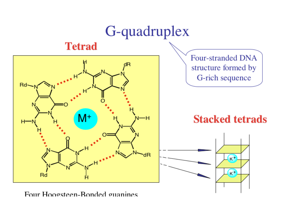

Four Hoogsteen-Bonded guanines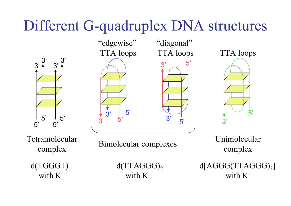# Different G-quadruplex DNA structures

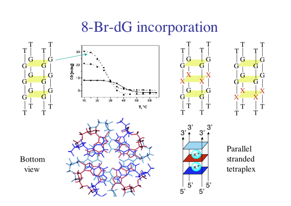## 8-Br-dG incorporation





Parallel stranded tetraplex

 $3<sup>′</sup>$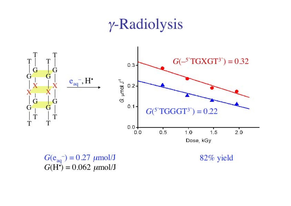# $\gamma$ -Radiolysis

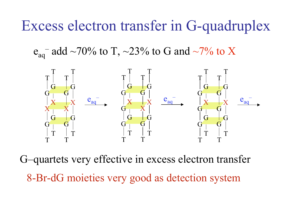## Excess electron transfer in G-quadruplex

 $e_{aq}$ <sup>–</sup> add ~70% to T, ~23% to G and ~7% to X



G–quartets very effective in excess electron transfer 8-Br-dG moieties very good as detection system